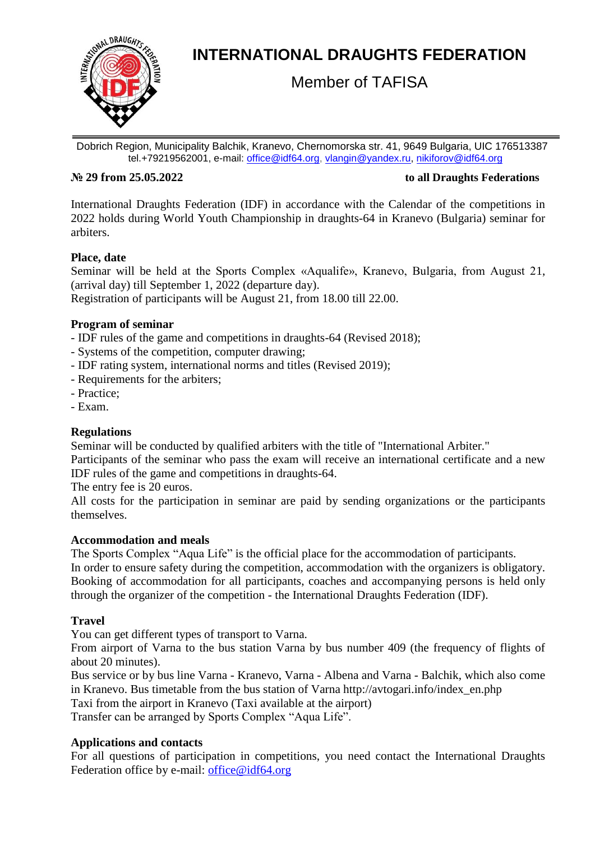

# **INTERNATIONAL DRAUGHTS FEDERATION**

Member of TAFISA

Dobrich Region, Municipality Balchik, Kranevo, Chernomorska str. 41, 9649 Bulgaria, UIC 176513387 tel.+79219562001, e-mail: [office@idf64.org,](mailto:office@idf64.org) [vlangin@yandex.ru,](mailto:vlangin@yandex.ru) [nikiforov@idf64.org](mailto:nikiforov@idf64.org)

#### **№ 29 from 25.05.2022 to all Draughts Federations**

International Draughts Federation (IDF) in accordance with the Calendar of the competitions in 2022 holds during World Youth Championship in draughts-64 in Kranevo (Bulgaria) seminar for arbiters.

# **Place, date**

Seminar will be held at the Sports Complex «Aqualife», Kranevo, Bulgaria, from August 21, (arrival day) till September 1, 2022 (departure day).

Registration of participants will be August 21, from 18.00 till 22.00.

### **Program of seminar**

- IDF rules of the game and competitions in draughts-64 (Revised 2018);
- Systems of the competition, computer drawing;
- IDF rating system, international norms and titles (Revised 2019);
- Requirements for the arbiters;
- Practice;
- Exam.

# **Regulations**

Seminar will be conducted by qualified arbiters with the title of "International Arbiter."

Participants of the seminar who pass the exam will receive an international certificate and a new IDF rules of the game and competitions in draughts-64.

The entry fee is 20 euros.

All costs for the participation in seminar are paid by sending organizations or the participants themselves.

#### **Accommodation and meals**

The Sports Complex "Aqua Life" is the official place for the accommodation of participants. In order to ensure safety during the competition, accommodation with the organizers is obligatory. Booking of accommodation for all participants, coaches and accompanying persons is held only through the organizer of the competition - the International Draughts Federation (IDF).

# **Travel**

You can get different types of transport to Varna.

From airport of Varna to the bus station Varna by bus number 409 (the frequency of flights of about 20 minutes).

Bus service or by bus line Varna - Kranevo, Varna - Albena and Varna - Balchik, which also come in Kranevo. Bus timetable from the bus station of Varna http://avtogari.info/index\_en.php

Taxi from the airport in Kranevo (Taxi available at the airport)

Transfer can be arranged by Sports Complex "Aqua Life".

# **Applications and contacts**

For all questions of participation in competitions, you need contact the International Draughts Federation office by e-mail: [office@idf64.org](mailto:office@idf64.org)